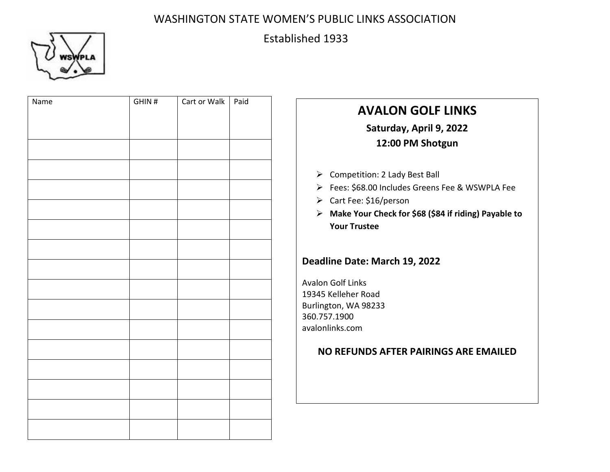

# Established 1933

| Name | GHIN# | Cart or Walk   Paid |  |
|------|-------|---------------------|--|
|      |       |                     |  |
|      |       |                     |  |
|      |       |                     |  |
|      |       |                     |  |
|      |       |                     |  |
|      |       |                     |  |
|      |       |                     |  |
|      |       |                     |  |
|      |       |                     |  |
|      |       |                     |  |
|      |       |                     |  |
|      |       |                     |  |
|      |       |                     |  |
|      |       |                     |  |
|      |       |                     |  |
|      |       |                     |  |
|      |       |                     |  |
|      |       |                     |  |
|      |       |                     |  |

# **AVALON GOLF LINKS Saturday, April 9, 2022 12:00 PM Shotgun**

- $\triangleright$  Competition: 2 Lady Best Ball
- Fees: \$68.00 Includes Greens Fee & WSWPLA Fee
- Cart Fee: \$16/person
- **Make Your Check for \$68 (\$84 if riding) Payable to Your Trustee**

### **Deadline Date: March 19, 2022**

Avalon Golf Links 19345 Kelleher Road Burlington, WA 98233 360.757.1900 avalonlinks.com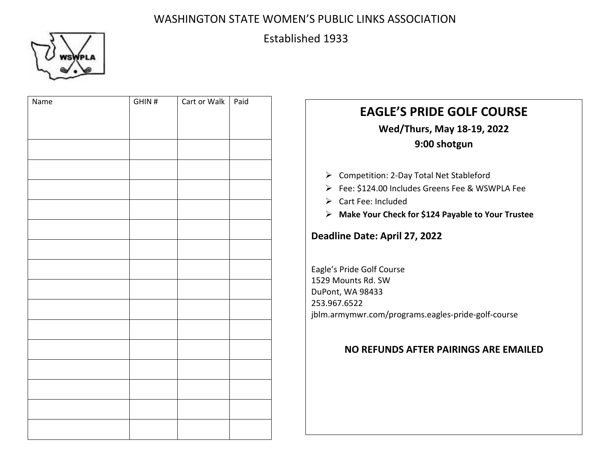

# Established 1933

| Name | GHIN# | Cart or Walk | Paid |
|------|-------|--------------|------|
|      |       |              |      |
|      |       |              |      |
|      |       |              |      |
|      |       |              |      |
|      |       |              |      |
|      |       |              |      |
|      |       |              |      |
|      |       |              |      |
|      |       |              |      |
|      |       |              |      |
|      |       |              |      |
|      |       |              |      |
|      |       |              |      |
|      |       |              |      |
|      |       |              |      |
|      |       |              |      |
|      |       |              |      |
|      |       |              |      |
|      |       |              |      |

# **EAGLE'S PRIDE GOLF COURSE Wed/Thurs, May 18-19, 2022 9:00 shotgun**

- ▶ Competition: 2-Day Total Net Stableford
- Fee: \$124.00 Includes Greens Fee & WSWPLA Fee
- Cart Fee: Included
- **Make Your Check for \$124 Payable to Your Trustee**

### **Deadline Date: April 27, 2022**

Eagle's Pride Golf Course 1529 Mounts Rd. SW DuPont, WA 98433 253.967.6522 jblm.armymwr.com/programs.eagles-pride-golf-course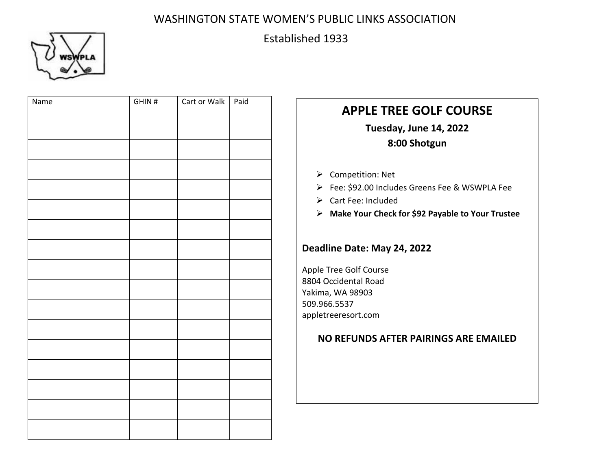

# Established 1933

| Name | GHIN# | Cart or Walk   Paid |  |
|------|-------|---------------------|--|
|      |       |                     |  |
|      |       |                     |  |
|      |       |                     |  |
|      |       |                     |  |
|      |       |                     |  |
|      |       |                     |  |
|      |       |                     |  |
|      |       |                     |  |
|      |       |                     |  |
|      |       |                     |  |
|      |       |                     |  |
|      |       |                     |  |
|      |       |                     |  |
|      |       |                     |  |
|      |       |                     |  |
|      |       |                     |  |
|      |       |                     |  |

# **APPLE TREE GOLF COURSE**

**Tuesday, June 14, 2022 8:00 Shotgun**

- **▶** Competition: Net
- Fee: \$92.00 Includes Greens Fee & WSWPLA Fee
- Cart Fee: Included
- **Make Your Check for \$92 Payable to Your Trustee**

### **Deadline Date: May 24, 2022**

Apple Tree Golf Course 8804 Occidental Road Yakima, WA 98903 509.966.5537 appletreeresort.com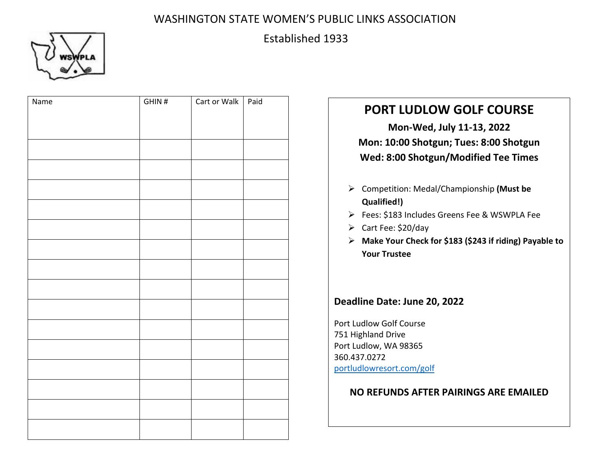

## Established 1933

| Name | GHIN# | Cart or Walk   Paid |  |
|------|-------|---------------------|--|
|      |       |                     |  |
|      |       |                     |  |
|      |       |                     |  |
|      |       |                     |  |
|      |       |                     |  |
|      |       |                     |  |
|      |       |                     |  |
|      |       |                     |  |
|      |       |                     |  |
|      |       |                     |  |
|      |       |                     |  |
|      |       |                     |  |
|      |       |                     |  |
|      |       |                     |  |
|      |       |                     |  |
|      |       |                     |  |
|      |       |                     |  |
|      |       |                     |  |

# **PORT LUDLOW GOLF COURSE Mon-Wed, July 11-13, 2022 Mon: 10:00 Shotgun; Tues: 8:00 Shotgun Wed: 8:00 Shotgun/Modified Tee Times** Competition: Medal/Championship **(Must be Qualified!)** Fees: \$183 Includes Greens Fee & WSWPLA Fee  $\triangleright$  Cart Fee: \$20/day **Make Your Check for \$183 (\$243 if riding) Payable to Your Trustee Deadline Date: June 20, 2022** Port Ludlow Golf Course 751 Highland Drive Port Ludlow, WA 98365 360.437.0272 portludlowresort.com/golf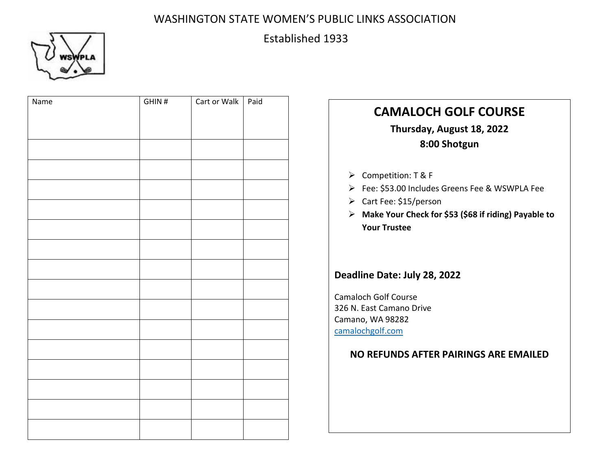# Established 1933



| Name | GHIN# | Cart or Walk | Paid | <b>CAMALOCH GOLF COURSE</b><br>Thursday, August 18, 2022<br>8:00 Shotgun                                                                                                            |
|------|-------|--------------|------|-------------------------------------------------------------------------------------------------------------------------------------------------------------------------------------|
|      |       |              |      | > Competition: T & F<br>> Fee: \$53.00 Includes Greens Fee & WSWPLA Fee<br>> Cart Fee: \$15/person<br>> Make Your Check for \$53 (\$68 if riding) Payable to<br><b>Your Trustee</b> |
|      |       |              |      | Deadline Date: July 28, 2022<br><b>Camaloch Golf Course</b><br>326 N. East Camano Drive<br>Camano, WA 98282<br>camalochgolf.com<br>NO REFUNDS AFTER PAIRINGS ARE EMAILED            |
|      |       |              |      |                                                                                                                                                                                     |